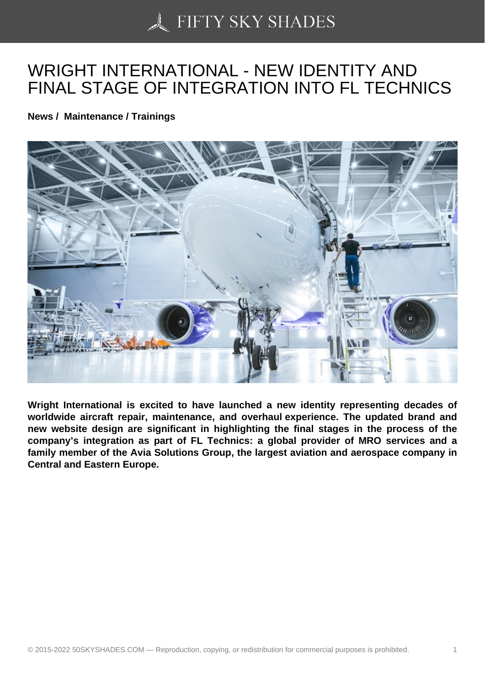## [WRIGHT INTERNATIO](https://50skyshades.com)NAL - NEW IDENTITY AND FINAL STAGE OF INTEGRATION INTO FL TECHNICS

News / Maintenance / Trainings

Wright International is excited to have launched a new identity representing decades of worldwide aircraft repair, maintenance, and overhaul experience. The updated brand and new website design are significant in highlighting the final stages in the process of the company's integration as part of FL Technics: a global provider of MRO services and a family member of the Avia Solutions Group, the largest aviation and aerospace company in Central and Eastern Europe.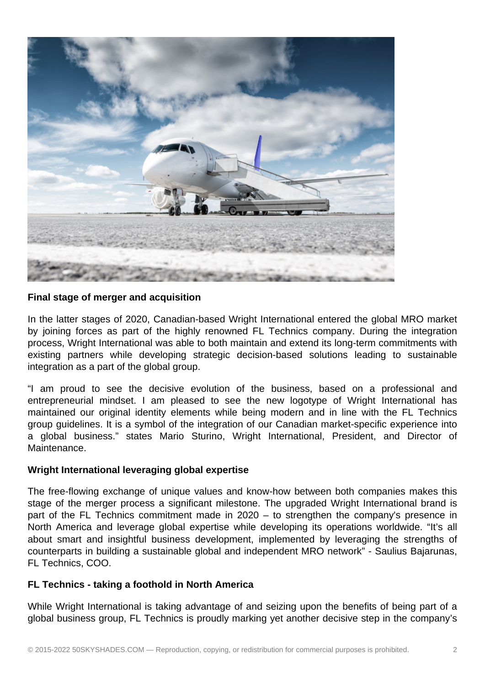

## **Final stage of merger and acquisition**

In the latter stages of 2020, Canadian-based Wright International entered the global MRO market by joining forces as part of the highly renowned FL Technics company. During the integration process, Wright International was able to both maintain and extend its long-term commitments with existing partners while developing strategic decision-based solutions leading to sustainable integration as a part of the global group.

"I am proud to see the decisive evolution of the business, based on a professional and entrepreneurial mindset. I am pleased to see the new logotype of Wright International has maintained our original identity elements while being modern and in line with the FL Technics group guidelines. It is a symbol of the integration of our Canadian market-specific experience into a global business." states Mario Sturino, Wright International, President, and Director of Maintenance.

## **Wright International leveraging global expertise**

The free-flowing exchange of unique values and know-how between both companies makes this stage of the merger process a significant milestone. The upgraded Wright International brand is part of the FL Technics commitment made in 2020 – to strengthen the company's presence in North America and leverage global expertise while developing its operations worldwide. "It's all about smart and insightful business development, implemented by leveraging the strengths of counterparts in building a sustainable global and independent MRO network" - Saulius Bajarunas, FL Technics, COO.

## **FL Technics - taking a foothold in North America**

While Wright International is taking advantage of and seizing upon the benefits of being part of a global business group, FL Technics is proudly marking yet another decisive step in the company's